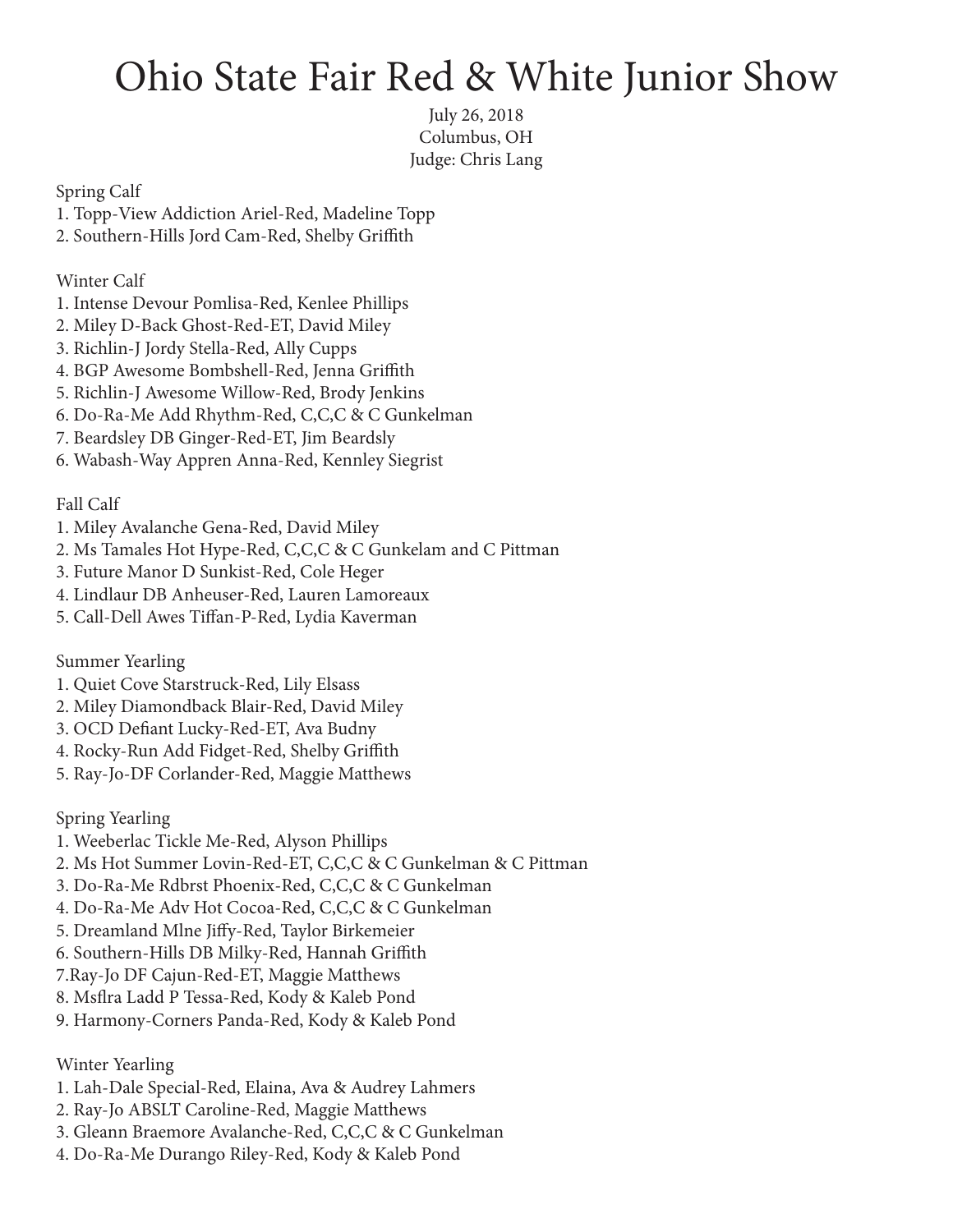## Ohio State Fair Red & White Junior Show

July 26, 2018 Columbus, OH Judge: Chris Lang

Spring Calf

- 1. Topp-View Addiction Ariel-Red, Madeline Topp
- 2. Southern-Hills Jord Cam-Red, Shelby Griffith

Winter Calf

- 1. Intense Devour Pomlisa-Red, Kenlee Phillips
- 2. Miley D-Back Ghost-Red-ET, David Miley
- 3. Richlin-J Jordy Stella-Red, Ally Cupps
- 4. BGP Awesome Bombshell-Red, Jenna Griffith
- 5. Richlin-J Awesome Willow-Red, Brody Jenkins
- 6. Do-Ra-Me Add Rhythm-Red, C,C,C & C Gunkelman
- 7. Beardsley DB Ginger-Red-ET, Jim Beardsly
- 6. Wabash-Way Appren Anna-Red, Kennley Siegrist

Fall Calf

- 1. Miley Avalanche Gena-Red, David Miley
- 2. Ms Tamales Hot Hype-Red, C,C,C & C Gunkelam and C Pittman
- 3. Future Manor D Sunkist-Red, Cole Heger
- 4. Lindlaur DB Anheuser-Red, Lauren Lamoreaux
- 5. Call-Dell Awes Tiffan-P-Red, Lydia Kaverman

Summer Yearling

- 1. Quiet Cove Starstruck-Red, Lily Elsass
- 2. Miley Diamondback Blair-Red, David Miley
- 3. OCD Defiant Lucky-Red-ET, Ava Budny
- 4. Rocky-Run Add Fidget-Red, Shelby Griffith
- 5. Ray-Jo-DF Corlander-Red, Maggie Matthews

Spring Yearling

- 1. Weeberlac Tickle Me-Red, Alyson Phillips
- 2. Ms Hot Summer Lovin-Red-ET, C,C,C & C Gunkelman & C Pittman
- 3. Do-Ra-Me Rdbrst Phoenix-Red, C,C,C & C Gunkelman
- 4. Do-Ra-Me Adv Hot Cocoa-Red, C,C,C & C Gunkelman
- 5. Dreamland Mlne Jiffy-Red, Taylor Birkemeier
- 6. Southern-Hills DB Milky-Red, Hannah Griffith
- 7.Ray-Jo DF Cajun-Red-ET, Maggie Matthews
- 8. Msflra Ladd P Tessa-Red, Kody & Kaleb Pond
- 9. Harmony-Corners Panda-Red, Kody & Kaleb Pond

Winter Yearling

- 1. Lah-Dale Special-Red, Elaina, Ava & Audrey Lahmers
- 2. Ray-Jo ABSLT Caroline-Red, Maggie Matthews
- 3. Gleann Braemore Avalanche-Red, C,C,C & C Gunkelman
- 4. Do-Ra-Me Durango Riley-Red, Kody & Kaleb Pond